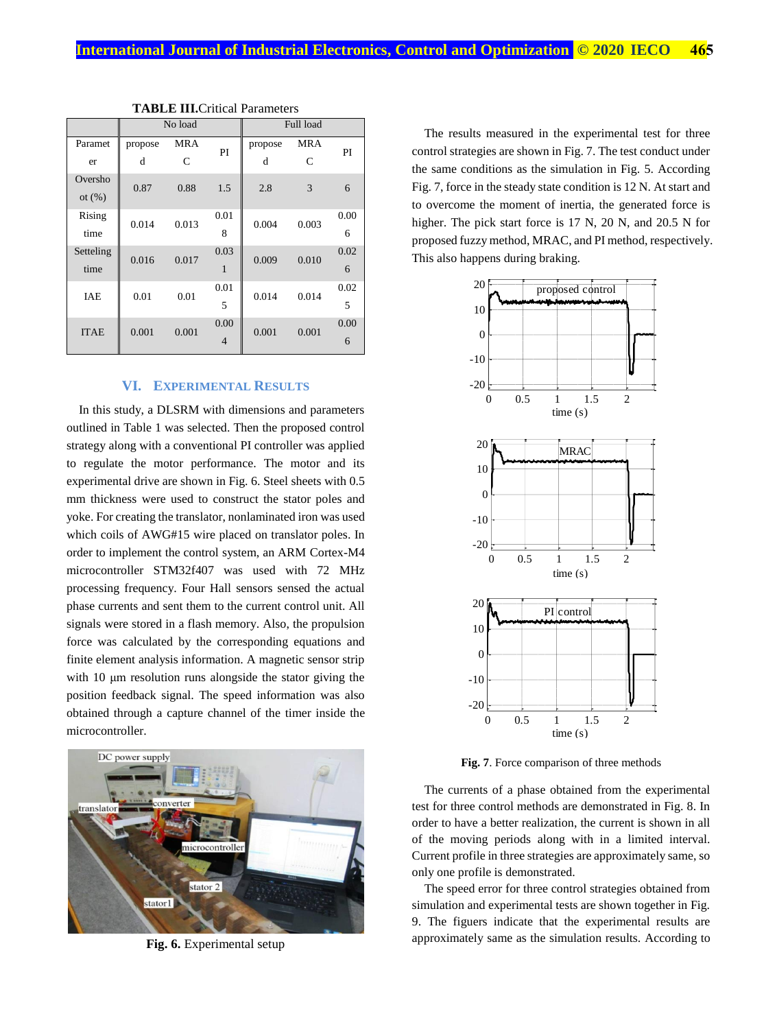|             | No load |            |      | Full load |            |      |
|-------------|---------|------------|------|-----------|------------|------|
| Paramet     | propose | <b>MRA</b> | PI   | propose   | <b>MRA</b> | PI   |
| er          | d       | C          |      | d         | C          |      |
| Oversho     | 0.87    | 0.88       | 1.5  | 2.8       | 3          | 6    |
| ot $(\%)$   |         |            |      |           |            |      |
| Rising      | 0.014   | 0.013      | 0.01 | 0.004     | 0.003      | 0.00 |
| time        |         |            | 8    |           |            | 6    |
| Setteling   | 0.016   | 0.017      | 0.03 | 0.009     | 0.010      | 0.02 |
| time        |         |            | 1    |           |            | 6    |
| <b>IAE</b>  | 0.01    | 0.01       | 0.01 | 0.014     | 0.014      | 0.02 |
|             |         |            | 5    |           |            | 5    |
| <b>ITAE</b> | 0.001   | 0.001      | 0.00 | 0.001     | 0.001      | 0.00 |
|             |         |            | 4    |           |            | 6    |

**TABLE III.**Critical Parameters

## **VI. EXPERIMENTAL RESULTS**

In this study, a DLSRM with dimensions and parameters outlined in Table 1 was selected. Then the proposed control strategy along with a conventional PI controller was applied to regulate the motor performance. The motor and its experimental drive are shown in Fig. 6. Steel sheets with 0.5 mm thickness were used to construct the stator poles and yoke. For creating the translator, nonlaminated iron was used which coils of AWG#15 wire placed on translator poles. In order to implement the control system, an ARM Cortex-M4 microcontroller STM32f407 was used with 72 MHz processing frequency. Four Hall sensors sensed the actual phase currents and sent them to the current control unit. All signals were stored in a flash memory. Also, the propulsion force was calculated by the corresponding equations and finite element analysis information. A magnetic sensor strip with 10 μm resolution runs alongside the stator giving the position feedback signal. The speed information was also obtained through a capture channel of the timer inside the microcontroller.



**Fig. 6.** Experimental setup

The results measured in the experimental test for three control strategies are shown in Fig. 7. The test conduct under the same conditions as the simulation in Fig. 5. According Fig. 7, force in the steady state condition is 12 N. At start and to overcome the moment of inertia, the generated force is higher. The pick start force is 17 N, 20 N, and 20.5 N for proposed fuzzy method, MRAC, and PI method, respectively. This also happens during braking.



**Fig. 7**. Force comparison of three methods

The currents of a phase obtained from the experimental test for three control methods are demonstrated in Fig. 8. In order to have a better realization, the current is shown in all of the moving periods along with in a limited interval. Current profile in three strategies are approximately same, so only one profile is demonstrated.

The speed error for three control strategies obtained from simulation and experimental tests are shown together in Fig. 9. The figuers indicate that the experimental results are approximately same as the simulation results. According to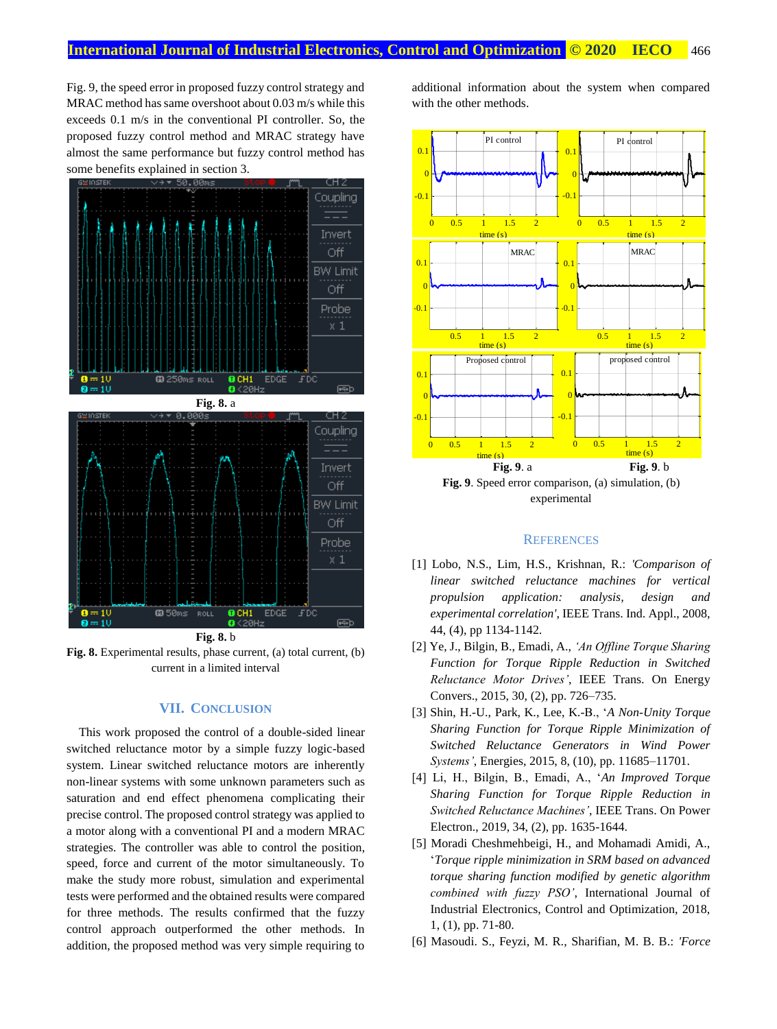Fig. 9, the speed error in proposed fuzzy control strategy and MRAC method has same overshoot about 0.03 m/s while this exceeds 0.1 m/s in the conventional PI controller. So, the proposed fuzzy control method and MRAC strategy have almost the same performance but fuzzy control method has some benefits explained in section 3.



**Fig. 8.** b **Fig. 8.** Experimental results, phase current, (a) total current, (b) current in a limited interval

## **VII. CONCLUSION**

This work proposed the control of a double-sided linear switched reluctance motor by a simple fuzzy logic-based system. Linear switched reluctance motors are inherently non-linear systems with some unknown parameters such as saturation and end effect phenomena complicating their precise control. The proposed control strategy was applied to a motor along with a conventional PI and a modern MRAC strategies. The controller was able to control the position, speed, force and current of the motor simultaneously. To make the study more robust, simulation and experimental tests were performed and the obtained results were compared for three methods. The results confirmed that the fuzzy control approach outperformed the other methods. In addition, the proposed method was very simple requiring to

additional information about the system when compared with the other methods.



## **REFERENCES**

- [1] Lobo, N.S., Lim, H.S., Krishnan, R.: *'Comparison of linear switched reluctance machines for vertical propulsion application: analysis, design and experimental correlation'*, IEEE Trans. Ind. Appl., 2008, 44, (4), pp 1134-1142.
- [2] Ye, J., Bilgin, B., Emadi, A., *'An Offline Torque Sharing Function for Torque Ripple Reduction in Switched Reluctance Motor Drives'*, IEEE Trans. On Energy Convers., 2015, 30, (2), pp. 726–735.
- [3] Shin, H.-U., Park, K., Lee, K.-B., '*A Non-Unity Torque Sharing Function for Torque Ripple Minimization of Switched Reluctance Generators in Wind Power Systems'*, Energies, 2015, 8, (10), pp. 11685–11701.
- [4] Li, H., Bilgin, B., Emadi, A., '*An Improved Torque Sharing Function for Torque Ripple Reduction in Switched Reluctance Machines'*, IEEE Trans. On Power Electron., 2019, 34, (2), pp. 1635-1644.
- [5] Moradi Cheshmehbeigi, H., and Mohamadi Amidi, A., '*Torque ripple minimization in SRM based on advanced torque sharing function modified by genetic algorithm combined with fuzzy PSO'*, International Journal of Industrial Electronics, Control and Optimization, 2018, 1, (1), pp. 71-80.
- [6] Masoudi. S., Feyzi, M. R., Sharifian, M. B. B.: *'Force*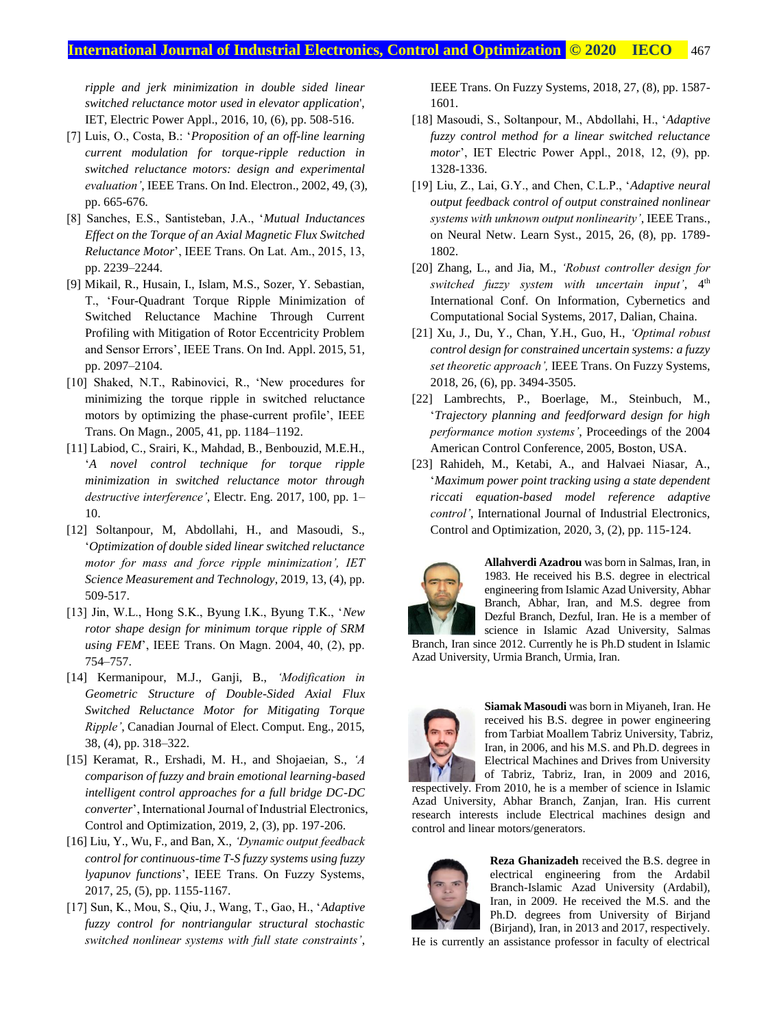*ripple and jerk minimization in double sided linear switched reluctance motor used in elevator application*', IET, Electric Power Appl., 2016, 10, (6), pp. 508-516.

- [7] Luis, O., Costa, B.: '*Proposition of an off-line learning current modulation for torque-ripple reduction in switched reluctance motors: design and experimental evaluation'*, IEEE Trans. On Ind. Electron., 2002, 49, (3), pp. 665-676.
- [8] Sanches, E.S., Santisteban, J.A., '*Mutual Inductances Effect on the Torque of an Axial Magnetic Flux Switched Reluctance Motor*', IEEE Trans. On Lat. Am., 2015, 13, pp. 2239–2244.
- [9] Mikail, R., Husain, I., Islam, M.S., Sozer, Y. Sebastian, T., 'Four-Quadrant Torque Ripple Minimization of Switched Reluctance Machine Through Current Profiling with Mitigation of Rotor Eccentricity Problem and Sensor Errors', IEEE Trans. On Ind. Appl. 2015, 51, pp. 2097–2104.
- [10] Shaked, N.T., Rabinovici, R., 'New procedures for minimizing the torque ripple in switched reluctance motors by optimizing the phase-current profile', IEEE Trans. On Magn., 2005, 41, pp. 1184–1192.
- [11] Labiod, C., Srairi, K., Mahdad, B., Benbouzid, M.E.H., '*A novel control technique for torque ripple minimization in switched reluctance motor through destructive interference'*, Electr. Eng. 2017, 100, pp. 1– 10.
- [12] Soltanpour, M, Abdollahi, H., and Masoudi, S., '*Optimization of double sided linear switched reluctance motor for mass and force ripple minimization', IET Science Measurement and Technology*, 2019, 13, (4), pp. 509-517.
- [13] Jin, W.L., Hong S.K., Byung I.K., Byung T.K., '*New rotor shape design for minimum torque ripple of SRM using FEM*', IEEE Trans. On Magn. 2004, 40, (2), pp. 754–757.
- [14] Kermanipour, M.J., Ganji, B., *'Modification in Geometric Structure of Double-Sided Axial Flux Switched Reluctance Motor for Mitigating Torque Ripple'*, Canadian Journal of Elect. Comput. Eng., 2015, 38, (4), pp. 318–322.
- [15] Keramat, R., Ershadi, M. H., and Shojaeian, S., *'A comparison of fuzzy and brain emotional learning-based intelligent control approaches for a full bridge DC-DC converter*', International Journal of Industrial Electronics, Control and Optimization, 2019, 2, (3), pp. 197-206.
- [16] Liu, Y., Wu, F., and Ban, X., *'Dynamic output feedback control for continuous-time T-S fuzzy systems using fuzzy lyapunov functions*', IEEE Trans. On Fuzzy Systems, 2017, 25, (5), pp. 1155-1167.
- [17] Sun, K., Mou, S., Qiu, J., Wang, T., Gao, H., '*Adaptive fuzzy control for nontriangular structural stochastic switched nonlinear systems with full state constraints'*,

IEEE Trans. On Fuzzy Systems, 2018, 27, (8), pp. 1587- 1601.

- [18] Masoudi, S., Soltanpour, M., Abdollahi, H., '*Adaptive fuzzy control method for a linear switched reluctance motor*', IET Electric Power Appl., 2018, 12, (9), pp. 1328-1336.
- [19] Liu, Z., Lai, G.Y., and Chen, C.L.P., '*Adaptive neural output feedback control of output constrained nonlinear systems with unknown output nonlinearity'*, IEEE Trans., on Neural Netw. Learn Syst., 2015, 26, (8), pp. 1789- 1802.
- [20] Zhang, L., and Jia, M., *'Robust controller design for switched fuzzy system with uncertain input'*,  $4<sup>th</sup>$ International Conf. On Information, Cybernetics and Computational Social Systems, 2017, Dalian, Chaina.
- [21] Xu, J., Du, Y., Chan, Y.H., Guo, H., *'Optimal robust control design for constrained uncertain systems: a fuzzy set theoretic approach',* IEEE Trans. On Fuzzy Systems, 2018, 26, (6), pp. 3494-3505.
- [22] Lambrechts, P., Boerlage, M., Steinbuch, M., '*Trajectory planning and feedforward design for high performance motion systems'*, Proceedings of the 2004 American Control Conference, 2005, Boston, USA.
- [23] Rahideh, M., Ketabi, A., and Halvaei Niasar, A., '*Maximum power point tracking using a state dependent riccati equation-based model reference adaptive control'*, International Journal of Industrial Electronics, Control and Optimization, 2020, 3, (2), pp. 115-124.



**Allahverdi Azadrou** was born in Salmas, Iran, in 1983. He received his B.S. degree in electrical engineering from Islamic Azad University, Abhar Branch, Abhar, Iran, and M.S. degree from Dezful Branch, Dezful, Iran. He is a member of science in Islamic Azad University, Salmas

Branch, Iran since 2012. Currently he is Ph.D student in Islamic Azad University, Urmia Branch, Urmia, Iran.



**Siamak Masoudi** was born in Miyaneh, Iran. He received his B.S. degree in power engineering from Tarbiat Moallem Tabriz University, Tabriz, Iran, in 2006, and his M.S. and Ph.D. degrees in Electrical Machines and Drives from University of Tabriz, Tabriz, Iran, in 2009 and 2016,

respectively. From 2010, he is a member of science in Islamic Azad University, Abhar Branch, Zanjan, Iran. His current research interests include Electrical machines design and control and linear motors/generators.



**Reza Ghanizadeh** received the B.S. degree in electrical engineering from the Ardabil Branch-Islamic Azad University (Ardabil), Iran, in 2009. He received the M.S. and the Ph.D. degrees from University of Birjand (Birjand), Iran, in 2013 and 2017, respectively.

He is currently an assistance professor in faculty of electrical